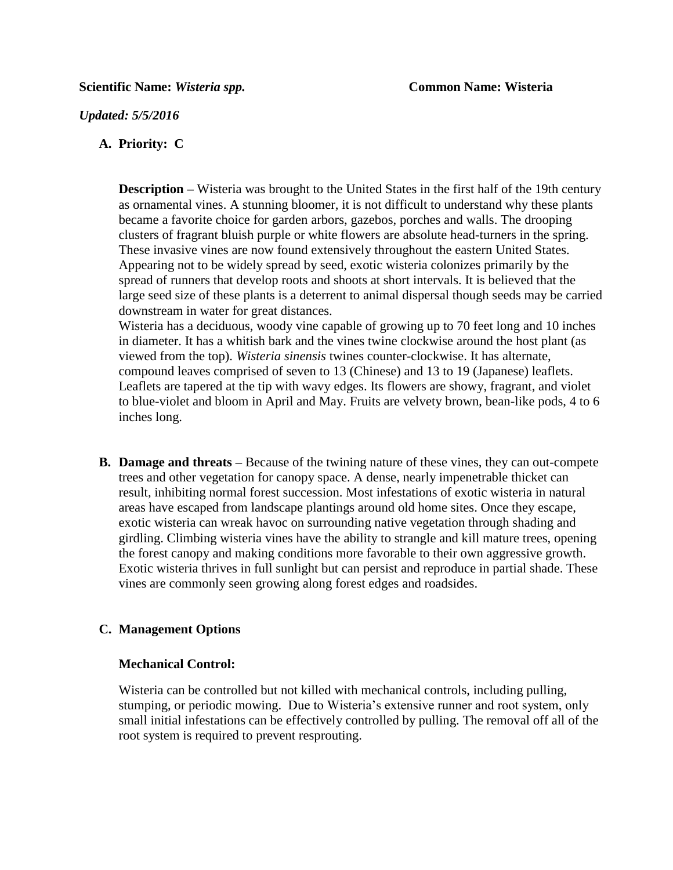### *Updated: 5/5/2016*

### **A. Priority: C**

**Description** – Wisteria was brought to the United States in the first half of the 19th century as ornamental vines. A stunning bloomer, it is not difficult to understand why these plants became a favorite choice for garden arbors, gazebos, porches and walls. The drooping clusters of fragrant bluish purple or white flowers are absolute head-turners in the spring. These invasive vines are now found extensively throughout the eastern United States. Appearing not to be widely spread by seed, exotic wisteria colonizes primarily by the spread of runners that develop roots and shoots at short intervals. It is believed that the large seed size of these plants is a deterrent to animal dispersal though seeds may be carried downstream in water for great distances.

Wisteria has a deciduous, woody vine capable of growing up to 70 feet long and 10 inches in diameter. It has a whitish bark and the vines twine clockwise around the host plant (as viewed from the top). *Wisteria sinensis* twines counter-clockwise. It has alternate, compound leaves comprised of seven to 13 (Chinese) and 13 to 19 (Japanese) leaflets. Leaflets are tapered at the tip with wavy edges. Its flowers are showy, fragrant, and violet to blue-violet and bloom in April and May. Fruits are velvety brown, bean-like pods, 4 to 6 inches long.

**B. Damage and threats –** Because of the twining nature of these vines, they can out-compete trees and other vegetation for canopy space. A dense, nearly impenetrable thicket can result, inhibiting normal forest succession. Most infestations of exotic wisteria in natural areas have escaped from landscape plantings around old home sites. Once they escape, exotic wisteria can wreak havoc on surrounding native vegetation through shading and girdling. Climbing wisteria vines have the ability to strangle and kill mature trees, opening the forest canopy and making conditions more favorable to their own aggressive growth. Exotic wisteria thrives in full sunlight but can persist and reproduce in partial shade. These vines are commonly seen growing along forest edges and roadsides.

# **C. Management Options**

#### **Mechanical Control:**

Wisteria can be controlled but not killed with mechanical controls, including pulling, stumping, or periodic mowing. Due to Wisteria's extensive runner and root system, only small initial infestations can be effectively controlled by pulling. The removal off all of the root system is required to prevent resprouting.